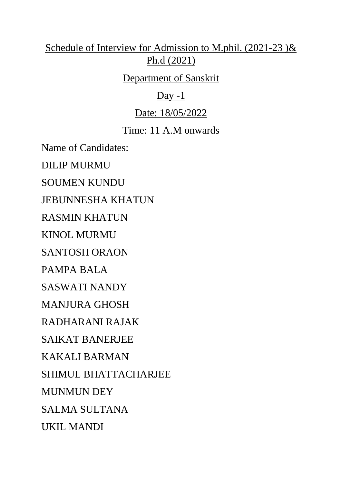# Schedule of Interview for Admission to M.phil. (2021-23 )& Ph.d (2021)

## Department of Sanskrit

# $Day -1$

# Date: 18/05/2022

# Time: 11 A.M onwards

Name of Candidates:

DILIP MURMU

SOUMEN KUNDU

JEBUNNESHA KHATUN

RASMIN KHATUN

KINOL MURMU

SANTOSH ORAON

PAMPA BALA

SASWATI NANDY

MANJURA GHOSH

RADHARANI RAJAK

SAIKAT BANERJEE

KAKALI BARMAN

SHIMUL BHATTACHARJEE

MUNMUN DEY

SALMA SULTANA

UKIL MANDI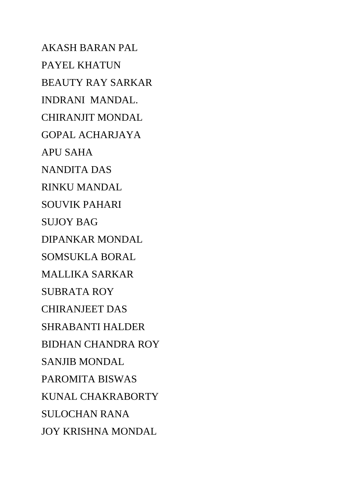AKASH BARAN PAL PAYEL KHATUN BEAUTY RAY SARKAR INDRANI MANDAL. CHIRANJIT MONDAL GOPAL ACHARJAYA APU SAHA NANDITA DAS RINKU MANDAL SOUVIK PAHARI SUJOY BAG DIPANKAR MONDAL SOMSUKLA BORAL MALLIKA SARKAR SUBRATA ROY CHIRANJEET DAS SHRABANTI HALDER BIDHAN CHANDRA ROY SANJIB MONDAL PAROMITA BISWAS KUNAL CHAKRABORTY SULOCHAN RANA JOY KRISHNA MONDAL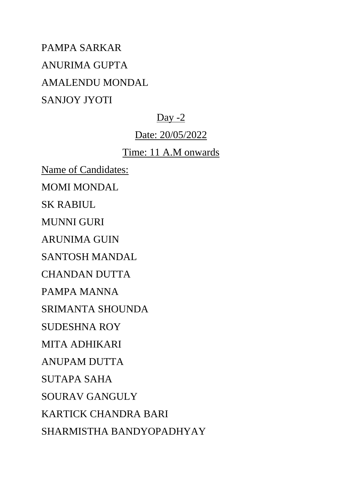PAMPA SARKAR ANURIMA GUPTA AMALENDU MONDAL SANJOY JYOTI

## Day -2

## Date: 20/05/2022

## Time: 11 A.M onwards

Name of Candidates:

MOMI MONDAL

SK RABIUL

MUNNI GURI

ARUNIMA GUIN

SANTOSH MANDAL

CHANDAN DUTTA

PAMPA MANNA

SRIMANTA SHOUNDA

SUDESHNA ROY

MITA ADHIKARI

ANUPAM DUTTA

SUTAPA SAHA

SOURAV GANGULY

KARTICK CHANDRA BARI

SHARMISTHA BANDYOPADHYAY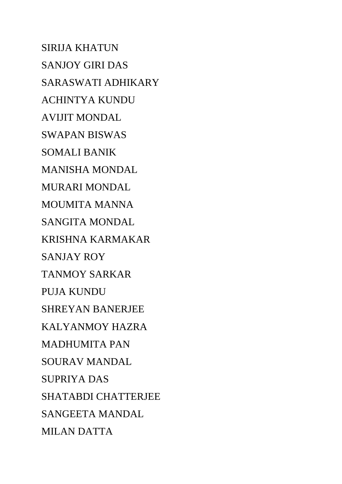SIRIJA KHATUN SANJOY GIRI DAS SARASWATI ADHIKARY ACHINTYA KUNDU AVIJIT MONDAL SWAPAN BISWAS SOMALI BANIK MANISHA MONDAL MURARI MONDAL MOUMITA MANNA SANGITA MONDAL KRISHNA KARMAKAR SANJAY ROY TANMOY SARKAR PUJA KUNDU SHREYAN BANERJEE KALYANMOY HAZRA MADHUMITA PAN SOURAV MANDAL SUPRIYA DAS SHATABDI CHATTERJEE SANGEETA MANDAL MILAN DATTA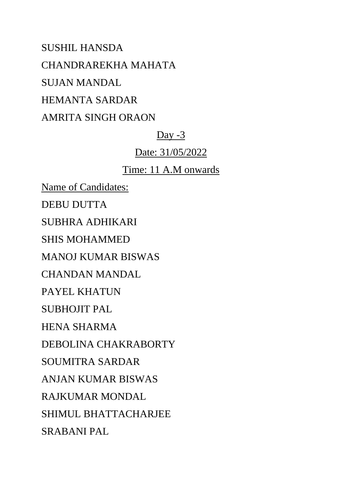SUSHIL HANSDA CHANDRAREKHA MAHATA SUJAN MANDAL HEMANTA SARDAR AMRITA SINGH ORAON

### Day -3

Date: 31/05/2022

#### Time: 11 A.M onwards

Name of Candidates: DEBU DUTTA SUBHRA ADHIKARI SHIS MOHAMMED MANOJ KUMAR BISWAS CHANDAN MANDAL PAYEL KHATUN SUBHOJIT PAL HENA SHARMA DEBOLINA CHAKRABORTY SOUMITRA SARDAR ANJAN KUMAR BISWAS RAJKUMAR MONDAL SHIMUL BHATTACHARJEE SRABANI PAL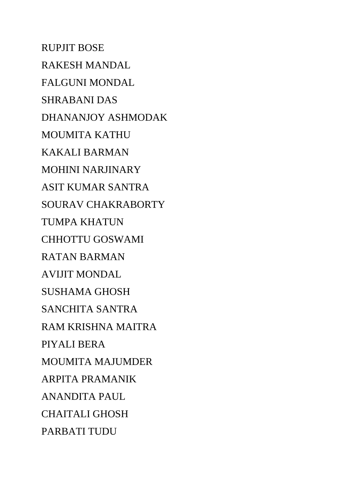RUPJIT BOSE RAKESH MANDAL FALGUNI MONDAL SHRABANI DAS DHANANJOY ASHMODAK MOUMITA KATHU KAKALI BARMAN MOHINI NARJINARY ASIT KUMAR SANTRA SOURAV CHAKRABORTY TUMPA KHATUN CHHOTTU GOSWAMI RATAN BARMAN AVIJIT MONDAL SUSHAMA GHOSH SANCHITA SANTRA RAM KRISHNA MAITRA PIYALI BERA MOUMITA MAJUMDER ARPITA PRAMANIK ANANDITA PAUL CHAITALI GHOSH PARBATI TUDU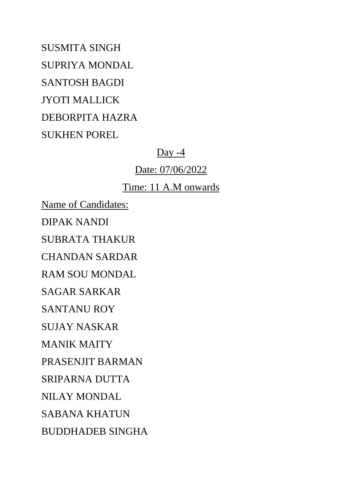SUSMITA SINGH SUPRIYA MONDAL SANTOSH BAGDI JYOTI MALLICK DEBORPITA HAZRA SUKHEN POREL

Day -4

Date: 07/06/2022

Time: 11 A.M onwards

Name of Candidates:

DIPAK NANDI

SUBRATA THAKUR

CHANDAN SARDAR

RAM SOU MONDAL

SAGAR SARKAR

SANTANU ROY

SUJAY NASKAR

MANIK MAITY

PRASENJIT BARMAN

SRIPARNA DUTTA

NILAY MONDAL

SABANA KHATUN

BUDDHADEB SINGHA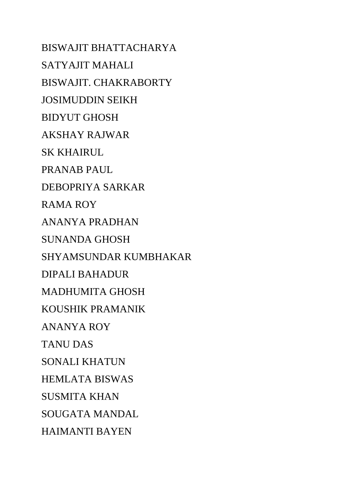BISWAJIT BHATTACHARYA SATYAJIT MAHALI BISWAJIT. CHAKRABORTY JOSIMUDDIN SEIKH BIDYUT GHOSH AKSHAY RAJWAR SK KHAIRUL PRANAB PAUL DEBOPRIYA SARKAR RAMA ROY ANANYA PRADHAN SUNANDA GHOSH SHYAMSUNDAR KUMBHAKAR DIPALI BAHADUR MADHUMITA GHOSH KOUSHIK PRAMANIK ANANYA ROY TANU DAS SONALI KHATUN HEMLATA BISWAS SUSMITA KHAN SOUGATA MANDAL HAIMANTI BAYEN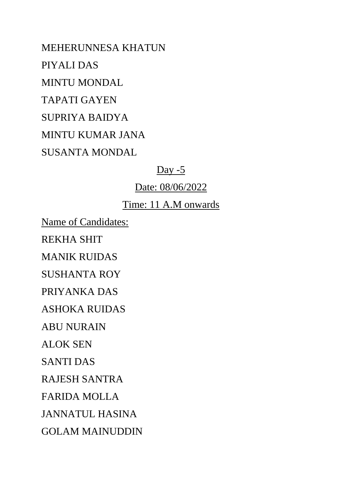MEHERUNNESA KHATUN PIYALI DAS MINTU MONDAL TAPATI GAYEN SUPRIYA BAIDYA MINTU KUMAR JANA SUSANTA MONDAL

### Day  $-5$

### Date: 08/06/2022

## Time: 11 A.M onwards

Name of Candidates:

REKHA SHIT

MANIK RUIDAS

SUSHANTA ROY

PRIYANKA DAS

ASHOKA RUIDAS

ABU NURAIN

ALOK SEN

SANTI DAS

RAJESH SANTRA

FARIDA MOLLA

JANNATUL HASINA

GOLAM MAINUDDIN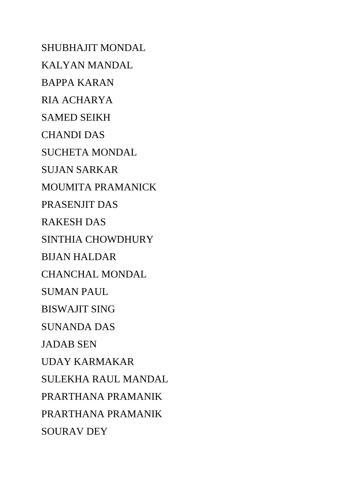SHUBHAJIT MONDAL KALYAN MANDAL BAPPA KARAN RIA ACHARYA SAMED SEIKH CHANDI DAS SUCHETA MONDAL SUJAN SARKAR MOUMITA PRAMANICK PRASENJIT DAS RAKESH DAS SINTHIA CHOWDHURY BIJAN HALDAR CHANCHAL MONDAL SUMAN PAUL BISWAJIT SING SUNANDA DAS JADAB SEN UDAY KARMAKAR SULEKHA RAUL MANDAL PRARTHANA PRAMANIK PRARTHANA PRAMANIK SOURAV DEY